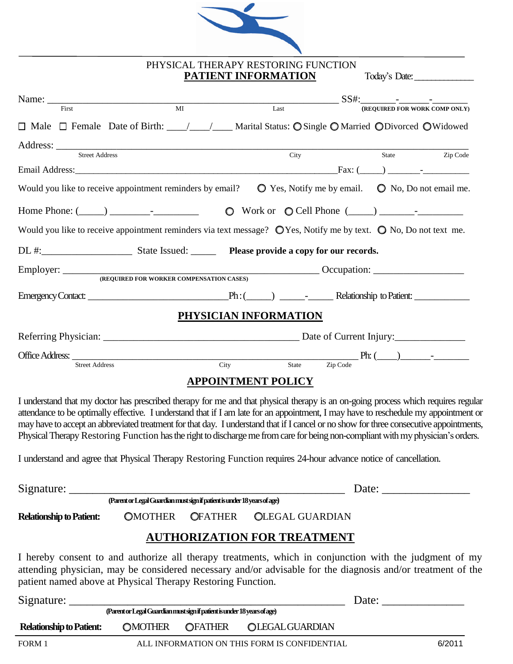

**PHYSICAL THERAPY RESTORING FUNCTION**

### **PATIENT INFORMATION** Today's Date:

| Name: $\frac{1}{\sqrt{1-\frac{1}{2}} \cdot \frac{1}{2} \cdot \frac{1}{2} \cdot \frac{1}{2} \cdot \frac{1}{2} \cdot \frac{1}{2} \cdot \frac{1}{2} \cdot \frac{1}{2} \cdot \frac{1}{2} \cdot \frac{1}{2} \cdot \frac{1}{2} \cdot \frac{1}{2} \cdot \frac{1}{2} \cdot \frac{1}{2} \cdot \frac{1}{2} \cdot \frac{1}{2} \cdot \frac{1}{2} \cdot \frac{1}{2} \cdot \frac{1}{2} \cdot \frac{1}{2} \cdot \frac{1}{2} \cdot \frac{1}{2} \cdot \frac{1}{2}$ |                                                                                                                                                                                                                                                                                                                                                                                                                                                                                                                                                       |                           |                                                                   |       |                               |
|---------------------------------------------------------------------------------------------------------------------------------------------------------------------------------------------------------------------------------------------------------------------------------------------------------------------------------------------------------------------------------------------------------------------------------------------------|-------------------------------------------------------------------------------------------------------------------------------------------------------------------------------------------------------------------------------------------------------------------------------------------------------------------------------------------------------------------------------------------------------------------------------------------------------------------------------------------------------------------------------------------------------|---------------------------|-------------------------------------------------------------------|-------|-------------------------------|
| First                                                                                                                                                                                                                                                                                                                                                                                                                                             | $\overline{M}$                                                                                                                                                                                                                                                                                                                                                                                                                                                                                                                                        |                           | $\overline{Last}$                                                 |       | (REQUIRED FOR WORK COMP ONLY) |
|                                                                                                                                                                                                                                                                                                                                                                                                                                                   | □ Male □ Female Date of Birth: ___/___/ ___ Marital Status: O Single O Married ODivorced O Widowed                                                                                                                                                                                                                                                                                                                                                                                                                                                    |                           |                                                                   |       |                               |
| <b>Street Address</b>                                                                                                                                                                                                                                                                                                                                                                                                                             |                                                                                                                                                                                                                                                                                                                                                                                                                                                                                                                                                       |                           | City                                                              | State | Zip Code                      |
|                                                                                                                                                                                                                                                                                                                                                                                                                                                   |                                                                                                                                                                                                                                                                                                                                                                                                                                                                                                                                                       |                           |                                                                   |       |                               |
|                                                                                                                                                                                                                                                                                                                                                                                                                                                   | Would you like to receive appointment reminders by email?                                                                                                                                                                                                                                                                                                                                                                                                                                                                                             |                           | $\bullet$ Yes, Notify me by email. $\bullet$ No, Do not email me. |       |                               |
|                                                                                                                                                                                                                                                                                                                                                                                                                                                   |                                                                                                                                                                                                                                                                                                                                                                                                                                                                                                                                                       |                           |                                                                   |       |                               |
|                                                                                                                                                                                                                                                                                                                                                                                                                                                   | Would you like to receive appointment reminders via text message? $\bigcirc$ Yes, Notify me by text. $\bigcirc$ No, Do not text me.                                                                                                                                                                                                                                                                                                                                                                                                                   |                           |                                                                   |       |                               |
|                                                                                                                                                                                                                                                                                                                                                                                                                                                   |                                                                                                                                                                                                                                                                                                                                                                                                                                                                                                                                                       |                           |                                                                   |       |                               |
|                                                                                                                                                                                                                                                                                                                                                                                                                                                   | Employer: <u>CEQUIRED FOR WORKER COMPENSATION CASES</u>                                                                                                                                                                                                                                                                                                                                                                                                                                                                                               |                           |                                                                   |       |                               |
|                                                                                                                                                                                                                                                                                                                                                                                                                                                   |                                                                                                                                                                                                                                                                                                                                                                                                                                                                                                                                                       |                           |                                                                   |       |                               |
|                                                                                                                                                                                                                                                                                                                                                                                                                                                   |                                                                                                                                                                                                                                                                                                                                                                                                                                                                                                                                                       |                           |                                                                   |       |                               |
|                                                                                                                                                                                                                                                                                                                                                                                                                                                   |                                                                                                                                                                                                                                                                                                                                                                                                                                                                                                                                                       | PHYSICIAN INFORMATION     |                                                                   |       |                               |
|                                                                                                                                                                                                                                                                                                                                                                                                                                                   |                                                                                                                                                                                                                                                                                                                                                                                                                                                                                                                                                       |                           |                                                                   |       |                               |
|                                                                                                                                                                                                                                                                                                                                                                                                                                                   |                                                                                                                                                                                                                                                                                                                                                                                                                                                                                                                                                       |                           |                                                                   |       |                               |
|                                                                                                                                                                                                                                                                                                                                                                                                                                                   |                                                                                                                                                                                                                                                                                                                                                                                                                                                                                                                                                       |                           |                                                                   |       |                               |
|                                                                                                                                                                                                                                                                                                                                                                                                                                                   |                                                                                                                                                                                                                                                                                                                                                                                                                                                                                                                                                       | <b>APPOINTMENT POLICY</b> |                                                                   |       |                               |
|                                                                                                                                                                                                                                                                                                                                                                                                                                                   | I understand that my doctor has prescribed therapy for me and that physical therapy is an on-going process which requires regular<br>attendance to be optimally effective. I understand that if I am late for an appointment, I may have to reschedule my appointment or<br>may have to accept an abbreviated treatment for that day. I understand that if I cancel or no show for three consecutive appointments,<br>Physical Therapy Restoring Function has the right to discharge me from care for being non-compliant with my physician's orders. |                           |                                                                   |       |                               |
|                                                                                                                                                                                                                                                                                                                                                                                                                                                   | I understand and agree that Physical Therapy Restoring Function requires 24-hour advance notice of cancellation.                                                                                                                                                                                                                                                                                                                                                                                                                                      |                           |                                                                   |       |                               |
|                                                                                                                                                                                                                                                                                                                                                                                                                                                   |                                                                                                                                                                                                                                                                                                                                                                                                                                                                                                                                                       |                           |                                                                   |       |                               |
|                                                                                                                                                                                                                                                                                                                                                                                                                                                   |                                                                                                                                                                                                                                                                                                                                                                                                                                                                                                                                                       |                           |                                                                   |       |                               |
| <b>Relationship to Patient:</b>                                                                                                                                                                                                                                                                                                                                                                                                                   | OMOTHER OFATHER                                                                                                                                                                                                                                                                                                                                                                                                                                                                                                                                       |                           | <b>OLEGAL GUARDIAN</b>                                            |       |                               |
|                                                                                                                                                                                                                                                                                                                                                                                                                                                   | <b>AUTHORIZATION FOR TREATMENT</b>                                                                                                                                                                                                                                                                                                                                                                                                                                                                                                                    |                           |                                                                   |       |                               |
|                                                                                                                                                                                                                                                                                                                                                                                                                                                   | I hereby consent to and authorize all therapy treatments, which in conjunction with the judgment of my<br>attending physician, may be considered necessary and/or advisable for the diagnosis and/or treatment of the<br>patient named above at Physical Therapy Restoring Function.                                                                                                                                                                                                                                                                  |                           |                                                                   |       |                               |
|                                                                                                                                                                                                                                                                                                                                                                                                                                                   | Signature: <u>Carentor Legal Guardian must sign if patient is under 18 years of age</u>                                                                                                                                                                                                                                                                                                                                                                                                                                                               |                           |                                                                   |       |                               |
|                                                                                                                                                                                                                                                                                                                                                                                                                                                   |                                                                                                                                                                                                                                                                                                                                                                                                                                                                                                                                                       |                           |                                                                   |       |                               |
| <b>Relationship to Patient:</b>                                                                                                                                                                                                                                                                                                                                                                                                                   | <b>OMOTHER</b><br><b>OFATHER</b>                                                                                                                                                                                                                                                                                                                                                                                                                                                                                                                      |                           | <b>OLEGAL GUARDIAN</b>                                            |       |                               |

FORM 1 ALL INFORMATION ON THIS FORM IS CONFIDENTIAL 6/2011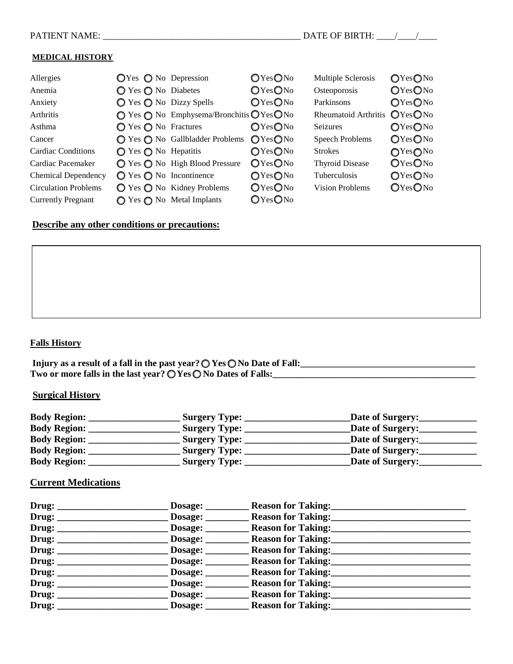#### **MEDICAL HISTORY**

| Allergies                   | $QYes$ $Q$ No Depression                  |                                                                                | OYesONo | Multiple Sclerosis     | OYesONo |
|-----------------------------|-------------------------------------------|--------------------------------------------------------------------------------|---------|------------------------|---------|
| Anemia                      | $\bigcirc$ Yes $\bigcirc$ No Diabetes     |                                                                                | OYesONo | Osteoporosis           | OYesONo |
| Anxiety                     | $\bigcirc$ Yes $\bigcirc$ No Dizzy Spells |                                                                                | OYesONo | Parkinsons             | OYesONo |
| Arthritis                   |                                           | $\bigcirc$ Yes $\bigcirc$ No Emphysema/Bronchitis $\bigcirc$ Yes $\bigcirc$ No |         | Rheumatoid Arthritis   | OYesONo |
| Asthma                      | $\bigcirc$ Yes $\bigcirc$ No Fractures    |                                                                                | OYesONo | <b>Seizures</b>        | OYesONo |
| Cancer                      |                                           | ◯ Yes ◯ No Gallbladder Problems                                                | OYesONo | <b>Speech Problems</b> | OYesONo |
| <b>Cardiac Conditions</b>   | $\bigcirc$ Yes $\bigcirc$ No Hepatitis    |                                                                                | OYesONo | <b>Strokes</b>         | OYesONo |
| Cardiac Pacemaker           |                                           | ◯ Yes ◯ No High Blood Pressure                                                 | OYesONo | <b>Thyroid Disease</b> | OYesONo |
| Chemical Dependency         | $\bigcirc$ Yes $\bigcirc$ No Incontinence |                                                                                | OYesONo | <b>Tuberculosis</b>    | OYesONo |
| <b>Circulation Problems</b> |                                           | $\bigcirc$ Yes $\bigcirc$ No Kidney Problems                                   | OYesONo | <b>Vision Problems</b> | OYesONo |
| <b>Currently Pregnant</b>   |                                           | $\bigcirc$ Yes $\bigcirc$ No Metal Implants                                    | OYesONo |                        |         |

#### **Describe any other conditions or precautions:**

#### **Falls History**

**Injury as a result of a fall in the past year? O Yes O No Date of Fall:\_\_\_\_\_\_\_\_\_\_\_\_\_\_\_\_\_\_\_\_\_\_\_\_\_\_\_\_\_\_\_\_\_\_\_\_\_\_**  Two or more falls in the last year?  $\overrightarrow{O}$  Yes  $\overrightarrow{O}$  No Dates of Falls:

#### **Surgical History**

| <b>Body Region:</b> | Surgery Type:        | Date of Surgery: |
|---------------------|----------------------|------------------|
| <b>Body Region:</b> | <b>Surgery Type:</b> | Date of Surgery: |
| <b>Body Region:</b> | <b>Surgery Type:</b> | Date of Surgery: |
| <b>Body Region:</b> | <b>Surgery Type:</b> | Date of Surgery: |
| <b>Body Region:</b> | <b>Surgery Type:</b> | Date of Surgery: |

#### **Current Medications**

|                                | Dosage:        | <b>Reason for Taking:</b> |
|--------------------------------|----------------|---------------------------|
|                                | Dosage:        | <b>Reason for Taking:</b> |
|                                | Dosage:        | <b>Reason for Taking:</b> |
| Drug:                          | Dosage:        | <b>Reason for Taking:</b> |
| Drug: $\overline{\phantom{a}}$ | Dosage:        | <b>Reason for Taking:</b> |
| Drug: $\overline{\phantom{a}}$ | <b>Dosage:</b> | <b>Reason for Taking:</b> |
| Drug:                          | Dosage:        | <b>Reason for Taking:</b> |
| Draw:                          | Dosage:        | <b>Reason for Taking:</b> |
| Drug:                          | Dosage:        | <b>Reason for Taking:</b> |
| Draw:                          | Dosage:        | <b>Reason for Taking:</b> |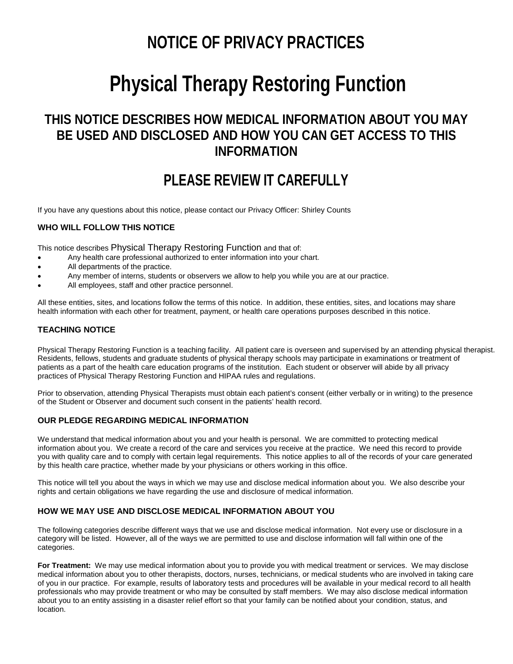# **NOTICE OF PRIVACY PRACTICES**

# **Physical Therapy Restoring Function**

## **THIS NOTICE DESCRIBES HOW MEDICAL INFORMATION ABOUT YOU MAY BE USED AND DISCLOSED AND HOW YOU CAN GET ACCESS TO THIS INFORMATION**

## **PLEASE REVIEW IT CAREFULLY**

If you have any questions about this notice, please contact our Privacy Officer: Shirley Counts

#### **WHO WILL FOLLOW THIS NOTICE**

This notice describes Physical Therapy Restoring Function and that of:

- Any health care professional authorized to enter information into your chart.
- All departments of the practice.
- Any member of interns, students or observers we allow to help you while you are at our practice.
- All employees, staff and other practice personnel.

All these entities, sites, and locations follow the terms of this notice. In addition, these entities, sites, and locations may share health information with each other for treatment, payment, or health care operations purposes described in this notice.

#### **TEACHING NOTICE**

Physical Therapy Restoring Function is a teaching facility. All patient care is overseen and supervised by an attending physical therapist. Residents, fellows, students and graduate students of physical therapy schools may participate in examinations or treatment of patients as a part of the health care education programs of the institution. Each student or observer will abide by all privacy practices of Physical Therapy Restoring Function and HIPAA rules and regulations.

Prior to observation, attending Physical Therapists must obtain each patient's consent (either verbally or in writing) to the presence of the Student or Observer and document such consent in the patients' health record.

#### **OUR PLEDGE REGARDING MEDICAL INFORMATION**

We understand that medical information about you and your health is personal. We are committed to protecting medical information about you. We create a record of the care and services you receive at the practice. We need this record to provide you with quality care and to comply with certain legal requirements. This notice applies to all of the records of your care generated by this health care practice, whether made by your physicians or others working in this office.

This notice will tell you about the ways in which we may use and disclose medical information about you. We also describe your rights and certain obligations we have regarding the use and disclosure of medical information.

#### **HOW WE MAY USE AND DISCLOSE MEDICAL INFORMATION ABOUT YOU**

The following categories describe different ways that we use and disclose medical information. Not every use or disclosure in a category will be listed. However, all of the ways we are permitted to use and disclose information will fall within one of the categories.

**For Treatment:** We may use medical information about you to provide you with medical treatment or services. We may disclose medical information about you to other therapists, doctors, nurses, technicians, or medical students who are involved in taking care of you in our practice. For example, results of laboratory tests and procedures will be available in your medical record to all health professionals who may provide treatment or who may be consulted by staff members. We may also disclose medical information about you to an entity assisting in a disaster relief effort so that your family can be notified about your condition, status, and location.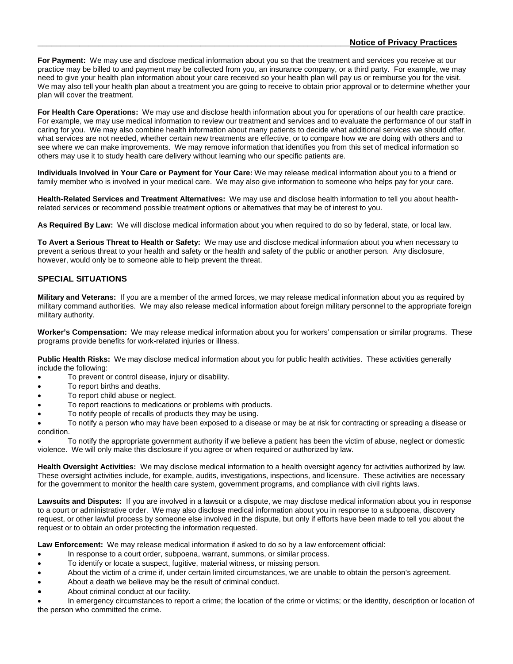**For Payment:** We may use and disclose medical information about you so that the treatment and services you receive at our practice may be billed to and payment may be collected from you, an insurance company, or a third party. For example, we may need to give your health plan information about your care received so your health plan will pay us or reimburse you for the visit. We may also tell your health plan about a treatment you are going to receive to obtain prior approval or to determine whether your plan will cover the treatment.

**For Health Care Operations:** We may use and disclose health information about you for operations of our health care practice. For example, we may use medical information to review our treatment and services and to evaluate the performance of our staff in caring for you. We may also combine health information about many patients to decide what additional services we should offer, what services are not needed, whether certain new treatments are effective, or to compare how we are doing with others and to see where we can make improvements. We may remove information that identifies you from this set of medical information so others may use it to study health care delivery without learning who our specific patients are.

**Individuals Involved in Your Care or Payment for Your Care:** We may release medical information about you to a friend or family member who is involved in your medical care. We may also give information to someone who helps pay for your care.

**Health-Related Services and Treatment Alternatives:** We may use and disclose health information to tell you about healthrelated services or recommend possible treatment options or alternatives that may be of interest to you.

**As Required By Law:** We will disclose medical information about you when required to do so by federal, state, or local law.

**To Avert a Serious Threat to Health or Safety:** We may use and disclose medical information about you when necessary to prevent a serious threat to your health and safety or the health and safety of the public or another person. Any disclosure, however, would only be to someone able to help prevent the threat.

#### **SPECIAL SITUATIONS**

**Military and Veterans:** If you are a member of the armed forces, we may release medical information about you as required by military command authorities. We may also release medical information about foreign military personnel to the appropriate foreign military authority.

**Worker's Compensation:** We may release medical information about you for workers' compensation or similar programs. These programs provide benefits for work-related injuries or illness.

**Public Health Risks:** We may disclose medical information about you for public health activities. These activities generally include the following:

- To prevent or control disease, injury or disability.
- To report births and deaths.
- To report child abuse or neglect.
- To report reactions to medications or problems with products.
- To notify people of recalls of products they may be using.

• To notify a person who may have been exposed to a disease or may be at risk for contracting or spreading a disease or condition.

• To notify the appropriate government authority if we believe a patient has been the victim of abuse, neglect or domestic violence. We will only make this disclosure if you agree or when required or authorized by law.

**Health Oversight Activities:** We may disclose medical information to a health oversight agency for activities authorized by law. These oversight activities include, for example, audits, investigations, inspections, and licensure. These activities are necessary for the government to monitor the health care system, government programs, and compliance with civil rights laws.

**Lawsuits and Disputes:** If you are involved in a lawsuit or a dispute, we may disclose medical information about you in response to a court or administrative order. We may also disclose medical information about you in response to a subpoena, discovery request, or other lawful process by someone else involved in the dispute, but only if efforts have been made to tell you about the request or to obtain an order protecting the information requested.

**Law Enforcement:** We may release medical information if asked to do so by a law enforcement official:

- In response to a court order, subpoena, warrant, summons, or similar process.
- To identify or locate a suspect, fugitive, material witness, or missing person.
- About the victim of a crime if, under certain limited circumstances, we are unable to obtain the person's agreement.
- About a death we believe may be the result of criminal conduct.
- About criminal conduct at our facility.

• In emergency circumstances to report a crime; the location of the crime or victims; or the identity, description or location of the person who committed the crime.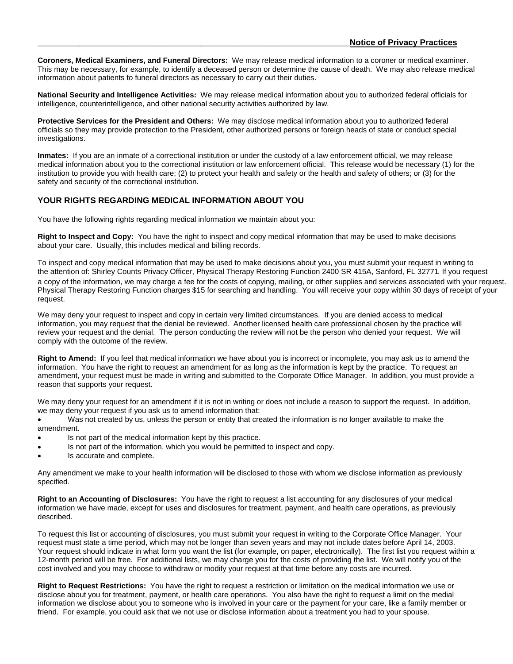**Coroners, Medical Examiners, and Funeral Directors:** We may release medical information to a coroner or medical examiner. This may be necessary, for example, to identify a deceased person or determine the cause of death. We may also release medical information about patients to funeral directors as necessary to carry out their duties.

**National Security and Intelligence Activities:** We may release medical information about you to authorized federal officials for intelligence, counterintelligence, and other national security activities authorized by law.

**Protective Services for the President and Others:** We may disclose medical information about you to authorized federal officials so they may provide protection to the President, other authorized persons or foreign heads of state or conduct special investigations.

**Inmates:** If you are an inmate of a correctional institution or under the custody of a law enforcement official, we may release medical information about you to the correctional institution or law enforcement official. This release would be necessary (1) for the institution to provide you with health care; (2) to protect your health and safety or the health and safety of others; or (3) for the safety and security of the correctional institution.

#### **YOUR RIGHTS REGARDING MEDICAL INFORMATION ABOUT YOU**

You have the following rights regarding medical information we maintain about you:

**Right to Inspect and Copy:** You have the right to inspect and copy medical information that may be used to make decisions about your care. Usually, this includes medical and billing records.

To inspect and copy medical information that may be used to make decisions about you, you must submit your request in writing to the attention of: Shirley Counts Privacy Officer, Physical Therapy Restoring Function 2400 SR 415A, Sanford, FL 32771. If you request a copy of the information, we may charge a fee for the costs of copying, mailing, or other supplies and services associated with your request. Physical Therapy Restoring Function charges \$15 for searching and handling. You will receive your copy within 30 days of receipt of your request.

We may deny your request to inspect and copy in certain very limited circumstances. If you are denied access to medical information, you may request that the denial be reviewed. Another licensed health care professional chosen by the practice will review your request and the denial. The person conducting the review will not be the person who denied your request. We will comply with the outcome of the review.

**Right to Amend:** If you feel that medical information we have about you is incorrect or incomplete, you may ask us to amend the information. You have the right to request an amendment for as long as the information is kept by the practice. To request an amendment, your request must be made in writing and submitted to the Corporate Office Manager. In addition, you must provide a reason that supports your request.

We may deny your request for an amendment if it is not in writing or does not include a reason to support the request. In addition, we may deny your request if you ask us to amend information that:

• Was not created by us, unless the person or entity that created the information is no longer available to make the amendment.

- Is not part of the medical information kept by this practice.
- Is not part of the information, which you would be permitted to inspect and copy.
- Is accurate and complete.

Any amendment we make to your health information will be disclosed to those with whom we disclose information as previously specified.

**Right to an Accounting of Disclosures:** You have the right to request a list accounting for any disclosures of your medical information we have made, except for uses and disclosures for treatment, payment, and health care operations, as previously described.

To request this list or accounting of disclosures, you must submit your request in writing to the Corporate Office Manager. Your request must state a time period, which may not be longer than seven years and may not include dates before April 14, 2003. Your request should indicate in what form you want the list (for example, on paper, electronically). The first list you request within a 12-month period will be free. For additional lists, we may charge you for the costs of providing the list. We will notify you of the cost involved and you may choose to withdraw or modify your request at that time before any costs are incurred.

**Right to Request Restrictions:** You have the right to request a restriction or limitation on the medical information we use or disclose about you for treatment, payment, or health care operations. You also have the right to request a limit on the medial information we disclose about you to someone who is involved in your care or the payment for your care, like a family member or friend. For example, you could ask that we not use or disclose information about a treatment you had to your spouse.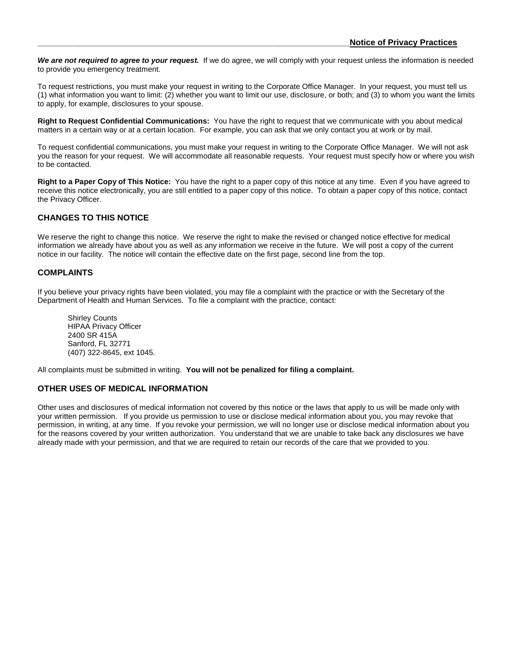*We are not required to agree to your request.* If we do agree, we will comply with your request unless the information is needed to provide you emergency treatment.

To request restrictions, you must make your request in writing to the Corporate Office Manager. In your request, you must tell us (1) what information you want to limit: (2) whether you want to limit our use, disclosure, or both; and (3) to whom you want the limits to apply, for example, disclosures to your spouse.

**Right to Request Confidential Communications:** You have the right to request that we communicate with you about medical matters in a certain way or at a certain location. For example, you can ask that we only contact you at work or by mail.

To request confidential communications, you must make your request in writing to the Corporate Office Manager. We will not ask you the reason for your request. We will accommodate all reasonable requests. Your request must specify how or where you wish to be contacted.

**Right to a Paper Copy of This Notice:** You have the right to a paper copy of this notice at any time. Even if you have agreed to receive this notice electronically, you are still entitled to a paper copy of this notice. To obtain a paper copy of this notice, contact the Privacy Officer.

#### **CHANGES TO THIS NOTICE**

We reserve the right to change this notice. We reserve the right to make the revised or changed notice effective for medical information we already have about you as well as any information we receive in the future. We will post a copy of the current notice in our facility. The notice will contain the effective date on the first page, second line from the top.

#### **COMPLAINTS**

If you believe your privacy rights have been violated, you may file a complaint with the practice or with the Secretary of the Department of Health and Human Services. To file a complaint with the practice, contact:

Shirley Counts HIPAA Privacy Officer 2400 SR 415A Sanford, FL 32771 (407) 322-8645, ext 1045.

All complaints must be submitted in writing. **You will not be penalized for filing a complaint.**

#### **OTHER USES OF MEDICAL INFORMATION**

Other uses and disclosures of medical information not covered by this notice or the laws that apply to us will be made only with your written permission. If you provide us permission to use or disclose medical information about you, you may revoke that permission, in writing, at any time. If you revoke your permission, we will no longer use or disclose medical information about you for the reasons covered by your written authorization. You understand that we are unable to take back any disclosures we have already made with your permission, and that we are required to retain our records of the care that we provided to you.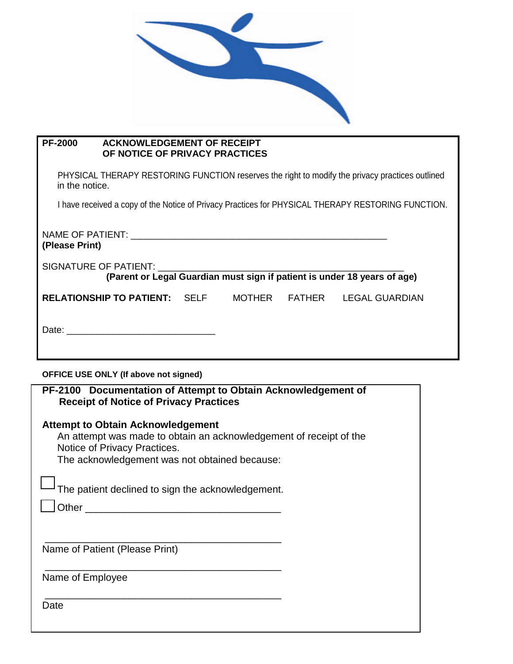

#### **PF-2000 ACKNOWLEDGEMENT OF RECEIPT OF NOTICE OF PRIVACY PRACTICES**

PHYSICAL THERAPY RESTORING FUNCTION reserves the right to modify the privacy practices outlined in the notice.

I have received a copy of the Notice of Privacy Practices for PHYSICAL THERAPY RESTORING FUNCTION.

| (Please Print)                                                           |  |               |  |                       |  |  |  |
|--------------------------------------------------------------------------|--|---------------|--|-----------------------|--|--|--|
| (Parent or Legal Guardian must sign if patient is under 18 years of age) |  |               |  |                       |  |  |  |
| <b>RELATIONSHIP TO PATIENT: SELF</b>                                     |  | <b>MOTHER</b> |  | FATHER LEGAL GUARDIAN |  |  |  |
|                                                                          |  |               |  |                       |  |  |  |

#### **OFFICE USE ONLY (If above not signed)**

|                                | <b>Attempt to Obtain Acknowledgement</b>                           |
|--------------------------------|--------------------------------------------------------------------|
|                                | An attempt was made to obtain an acknowledgement of receipt of the |
| Notice of Privacy Practices.   |                                                                    |
|                                | The acknowledgement was not obtained because:                      |
|                                |                                                                    |
|                                | The patient declined to sign the acknowledgement.                  |
| Other                          |                                                                    |
|                                |                                                                    |
|                                |                                                                    |
|                                |                                                                    |
| Name of Patient (Please Print) |                                                                    |
|                                |                                                                    |
| Name of Employee               |                                                                    |
|                                |                                                                    |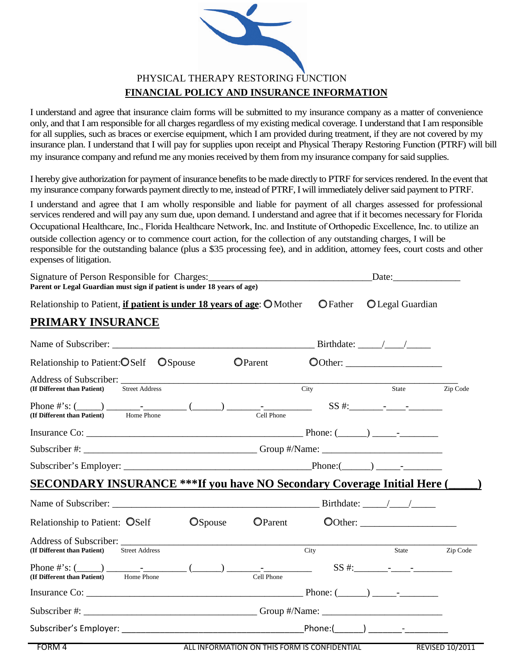$\circ$   $\circ$   $\circ$ 

# $\begin{matrix} 0 & 0 & 0 & 0 \end{matrix}$

 $\overline{\mathbf{C}}$  $\begin{matrix} 0 & 0 & 0 \end{matrix}$